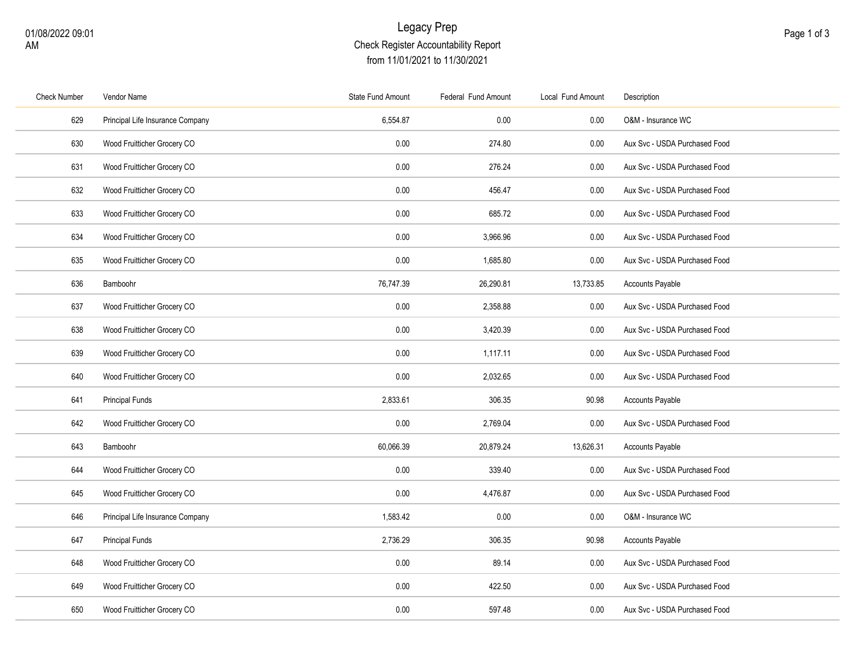## Legacy Prep Check Register Accountability Report from 11/01/2021 to 11/30/2021

| <b>Check Number</b> | Vendor Name                      | State Fund Amount | Federal Fund Amount | Local Fund Amount | Description                   |
|---------------------|----------------------------------|-------------------|---------------------|-------------------|-------------------------------|
| 629                 | Principal Life Insurance Company | 6,554.87          | 0.00                | $0.00\,$          | O&M - Insurance WC            |
| 630                 | Wood Fruitticher Grocery CO      | 0.00              | 274.80              | 0.00              | Aux Svc - USDA Purchased Food |
| 631                 | Wood Fruitticher Grocery CO      | 0.00              | 276.24              | 0.00              | Aux Svc - USDA Purchased Food |
| 632                 | Wood Fruitticher Grocery CO      | 0.00              | 456.47              | 0.00              | Aux Svc - USDA Purchased Food |
| 633                 | Wood Fruitticher Grocery CO      | 0.00              | 685.72              | 0.00              | Aux Svc - USDA Purchased Food |
| 634                 | Wood Fruitticher Grocery CO      | 0.00              | 3,966.96            | $0.00\,$          | Aux Svc - USDA Purchased Food |
| 635                 | Wood Fruitticher Grocery CO      | 0.00              | 1,685.80            | 0.00              | Aux Svc - USDA Purchased Food |
| 636                 | Bamboohr                         | 76,747.39         | 26,290.81           | 13,733.85         | <b>Accounts Payable</b>       |
| 637                 | Wood Fruitticher Grocery CO      | 0.00              | 2,358.88            | $0.00\,$          | Aux Svc - USDA Purchased Food |
| 638                 | Wood Fruitticher Grocery CO      | 0.00              | 3,420.39            | 0.00              | Aux Svc - USDA Purchased Food |
| 639                 | Wood Fruitticher Grocery CO      | 0.00              | 1,117.11            | 0.00              | Aux Svc - USDA Purchased Food |
| 640                 | Wood Fruitticher Grocery CO      | 0.00              | 2,032.65            | $0.00\,$          | Aux Svc - USDA Purchased Food |
| 641                 | <b>Principal Funds</b>           | 2,833.61          | 306.35              | 90.98             | Accounts Payable              |
| 642                 | Wood Fruitticher Grocery CO      | 0.00              | 2,769.04            | 0.00              | Aux Svc - USDA Purchased Food |
| 643                 | Bamboohr                         | 60,066.39         | 20,879.24           | 13,626.31         | <b>Accounts Payable</b>       |
| 644                 | Wood Fruitticher Grocery CO      | 0.00              | 339.40              | 0.00              | Aux Svc - USDA Purchased Food |
| 645                 | Wood Fruitticher Grocery CO      | 0.00              | 4,476.87            | 0.00              | Aux Svc - USDA Purchased Food |
| 646                 | Principal Life Insurance Company | 1,583.42          | 0.00                | 0.00              | O&M - Insurance WC            |
| 647                 | <b>Principal Funds</b>           | 2,736.29          | 306.35              | 90.98             | Accounts Payable              |
| 648                 | Wood Fruitticher Grocery CO      | 0.00              | 89.14               | 0.00              | Aux Svc - USDA Purchased Food |
| 649                 | Wood Fruitticher Grocery CO      | 0.00              | 422.50              | 0.00              | Aux Svc - USDA Purchased Food |
| 650                 | Wood Fruitticher Grocery CO      | 0.00              | 597.48              | 0.00              | Aux Svc - USDA Purchased Food |
|                     |                                  |                   |                     |                   |                               |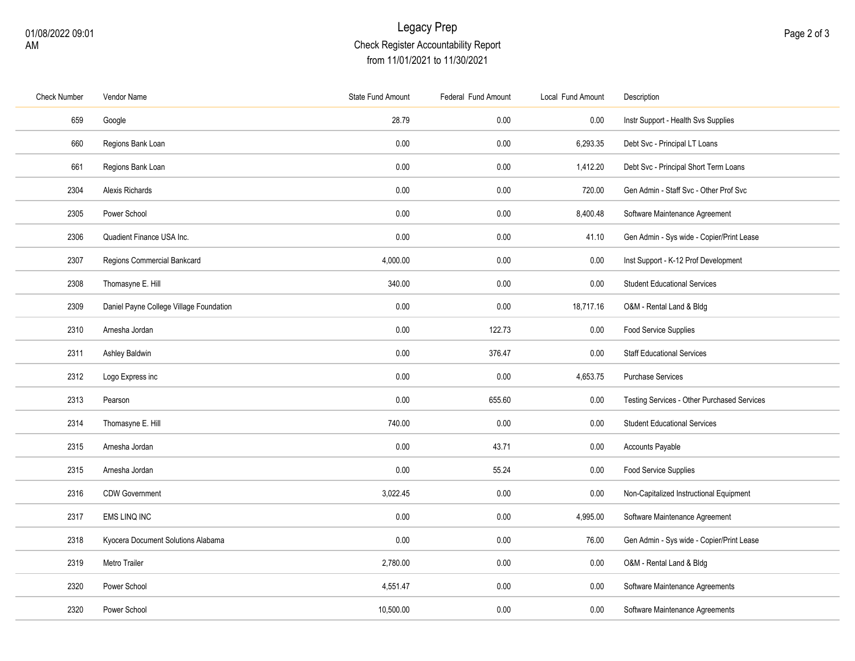## Legacy Prep Check Register Accountability Report from 11/01/2021 to 11/30/2021

| <b>Check Number</b> | Vendor Name                             | <b>State Fund Amount</b> | Federal Fund Amount | Local Fund Amount | Description                                 |
|---------------------|-----------------------------------------|--------------------------|---------------------|-------------------|---------------------------------------------|
| 659                 | Google                                  | 28.79                    | 0.00                | 0.00              | Instr Support - Health Svs Supplies         |
| 660                 | Regions Bank Loan                       | 0.00                     | 0.00                | 6,293.35          | Debt Svc - Principal LT Loans               |
| 661                 | Regions Bank Loan                       | 0.00                     | 0.00                | 1,412.20          | Debt Svc - Principal Short Term Loans       |
| 2304                | Alexis Richards                         | 0.00                     | 0.00                | 720.00            | Gen Admin - Staff Svc - Other Prof Svc      |
| 2305                | Power School                            | 0.00                     | 0.00                | 8,400.48          | Software Maintenance Agreement              |
| 2306                | Quadient Finance USA Inc.               | 0.00                     | 0.00                | 41.10             | Gen Admin - Sys wide - Copier/Print Lease   |
| 2307                | Regions Commercial Bankcard             | 4,000.00                 | 0.00                | 0.00              | Inst Support - K-12 Prof Development        |
| 2308                | Thomasyne E. Hill                       | 340.00                   | 0.00                | 0.00              | <b>Student Educational Services</b>         |
| 2309                | Daniel Payne College Village Foundation | 0.00                     | 0.00                | 18,717.16         | O&M - Rental Land & Bldg                    |
| 2310                | Arnesha Jordan                          | 0.00                     | 122.73              | 0.00              | Food Service Supplies                       |
| 2311                | Ashley Baldwin                          | 0.00                     | 376.47              | 0.00              | <b>Staff Educational Services</b>           |
| 2312                | Logo Express inc                        | 0.00                     | 0.00                | 4,653.75          | Purchase Services                           |
| 2313                | Pearson                                 | 0.00                     | 655.60              | 0.00              | Testing Services - Other Purchased Services |
| 2314                | Thomasyne E. Hill                       | 740.00                   | 0.00                | 0.00              | <b>Student Educational Services</b>         |
| 2315                | Arnesha Jordan                          | 0.00                     | 43.71               | 0.00              | Accounts Payable                            |
| 2315                | Arnesha Jordan                          | 0.00                     | 55.24               | 0.00              | Food Service Supplies                       |
| 2316                | <b>CDW Government</b>                   | 3,022.45                 | 0.00                | 0.00              | Non-Capitalized Instructional Equipment     |
| 2317                | EMS LINQ INC                            | 0.00                     | 0.00                | 4,995.00          | Software Maintenance Agreement              |
| 2318                | Kyocera Document Solutions Alabama      | 0.00                     | 0.00                | 76.00             | Gen Admin - Sys wide - Copier/Print Lease   |
| 2319                | Metro Trailer                           | 2,780.00                 | 0.00                | 0.00              | O&M - Rental Land & Bldg                    |
| 2320                | Power School                            | 4,551.47                 | 0.00                | 0.00              | Software Maintenance Agreements             |
| 2320                | Power School                            | 10,500.00                | 0.00                | 0.00              | Software Maintenance Agreements             |
|                     |                                         |                          |                     |                   |                                             |